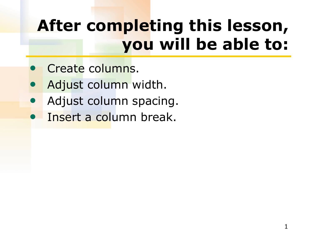# **After completing this lesson, you will be able to:**

- Create columns.
- Adjust column width.
- Adjust column spacing.
- Insert a column break.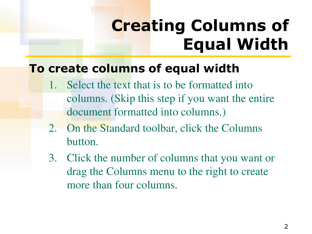# **Creating Columns of Equal Width**

#### **To create columns of equal width**

- Select the text that is to be formatted into columns. (Skip this step if you want the entire document formatted into columns.)
- 2. On the Standard toolbar, click the Columns button.
- 3. Click the number of columns that you want or drag the Columns menu to the right to create more than four columns.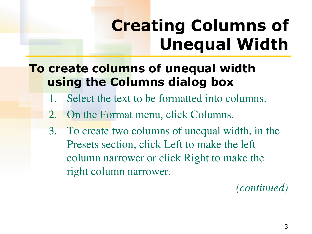# **Creating Columns of Unequal Width**

### **To create columns of unequal width using the Columns dialog box**

- 1. Select the text to be formatted into columns.
- 2. On the Format menu, click Columns.
- 3. To create two columns of unequal width, in the Presets section, click Left to make the left column narrower or click Right to make the right column narrower.

*(continued)*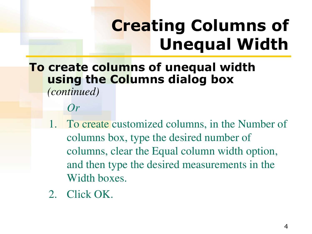# **Creating Columns of Unequal Width**

### **To create columns of unequal width using the Columns dialog box**

*(continued)* 

*Or*

- 1. To create customized columns, in the Number of columns box, type the desired number of columns, clear the Equal column width option, and then type the desired measurements in the Width boxes.
- 2. Click OK.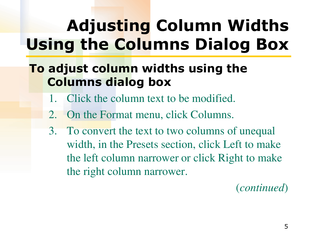# **Adjusting Column Widths Using the Columns Dialog Box**

### **To adjust column widths using the Columns dialog box**

- 1. Click the column text to be modified.
- 2. On the Format menu, click Columns.
- 3. To convert the text to two columns of unequal width, in the Presets section, click Left to make the left column narrower or click Right to make the right column narrower.

(*continued*)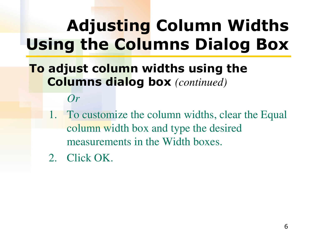# **Adjusting Column Widths Using the Columns Dialog Box**

- **To adjust column widths using the Columns dialog box** *(continued)* 
	- *Or*
	- 1. To customize the column widths, clear the Equal column width box and type the desired measurements in the Width boxes.
	- 2. Click OK.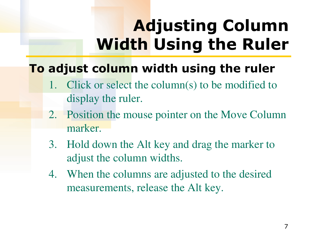# **Adjusting Column Width Using the Ruler**

### **To adjust column width using the ruler**

- 1. Click or select the column(s) to be modified to display the ruler.
- 2. Position the mouse pointer on the Move Column marker.
- 3. Hold down the Alt key and drag the marker to adjust the column widths.
- 4. When the columns are adjusted to the desired measurements, release the Alt key.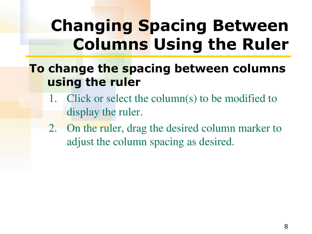## **Changing Spacing Between Columns Using the Ruler**

#### **To change the spacing between columns using the ruler**

- 1. Click or select the column(s) to be modified to display the ruler.
- 2. On the ruler, drag the desired column marker to adjust the column spacing as desired.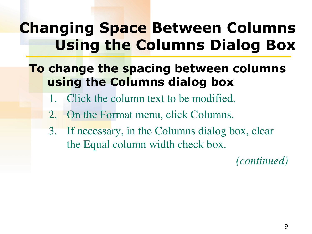### **Changing Space Between Columns Using the Columns Dialog Box**

- **To change the spacing between columns using the Columns dialog box**
	- 1. Click the column text to be modified.
	- 2. On the Format menu, click Columns.
	- 3. If necessary, in the Columns dialog box, clear the Equal column width check box.

*(continued)*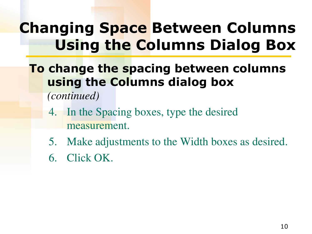### **Changing Space Between Columns Using the Columns Dialog Box**

- **To change the spacing between columns using the Columns dialog box** 
	- *(continued)*
	- 4. In the Spacing boxes, type the desired measurement.
	- 5. Make adjustments to the Width boxes as desired.
	- 6. Click OK.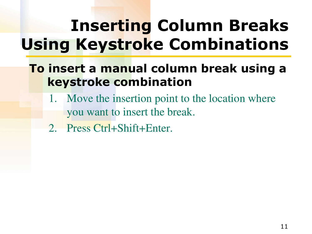# **Inserting Column Breaks Using Keystroke Combinations**

### **To insert a manual column break using a keystroke combination**

- 1. Move the insertion point to the location where you want to insert the break.
- 2. Press Ctrl+Shift+Enter.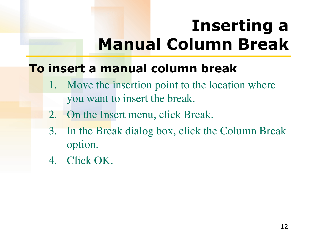## **Inserting a Manual Column Break**

### **To insert a manual column break**

- 1. Move the insertion point to the location where you want to insert the break.
- 2. On the Insert menu, click Break.
- 3. In the Break dialog box, click the Column Break option.
- 4. Click OK.